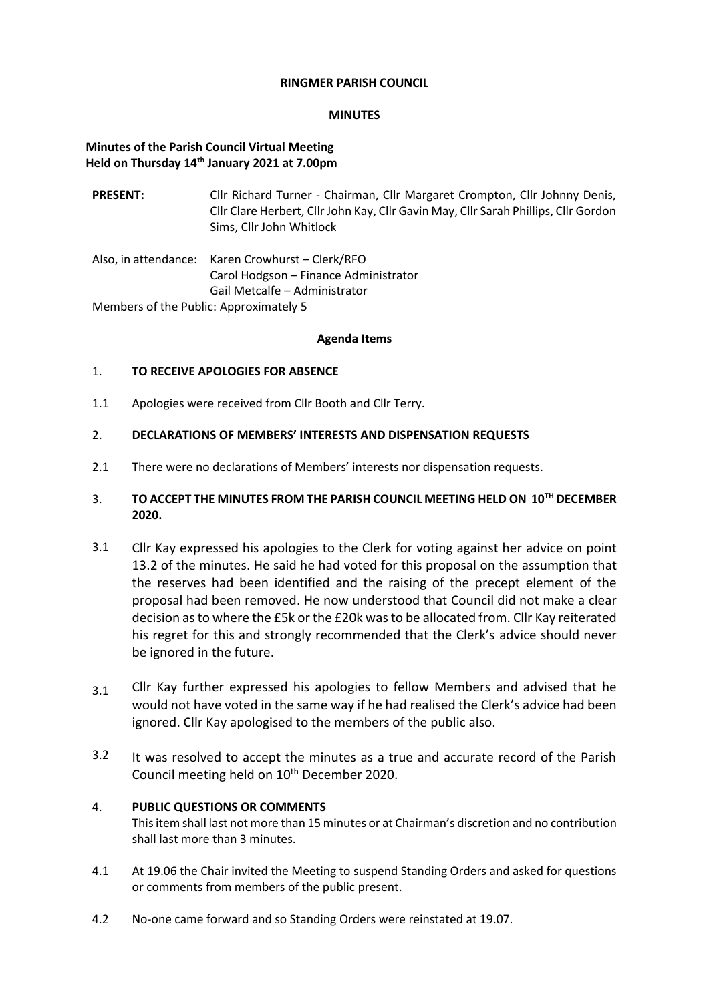#### **RINGMER PARISH COUNCIL**

#### **MINUTES**

## **Minutes of the Parish Council Virtual Meeting Held on Thursday 14 th January 2021 at 7.00pm**

- **PRESENT:** Cllr Richard Turner Chairman, Cllr Margaret Crompton, Cllr Johnny Denis, Cllr Clare Herbert, Cllr John Kay, Cllr Gavin May, Cllr Sarah Phillips, Cllr Gordon Sims, Cllr John Whitlock
- Also, in attendance: Karen Crowhurst Clerk/RFO Carol Hodgson – Finance Administrator Gail Metcalfe – Administrator

Members of the Public: Approximately 5

#### **Agenda Items**

## 1. **TO RECEIVE APOLOGIES FOR ABSENCE**

1.1 Apologies were received from Cllr Booth and Cllr Terry.

## 2. **DECLARATIONS OF MEMBERS' INTERESTS AND DISPENSATION REQUESTS**

2.1 There were no declarations of Members' interests nor dispensation requests.

## 3. **TO ACCEPT THE MINUTES FROM THE PARISH COUNCIL MEETING HELD ON 10 TH DECEMBER 2020.**

- 3.1 Cllr Kay expressed his apologies to the Clerk for voting against her advice on point 13.2 of the minutes. He said he had voted for this proposal on the assumption that the reserves had been identified and the raising of the precept element of the proposal had been removed. He now understood that Council did not make a clear decision as to where the £5k or the £20k was to be allocated from. Cllr Kay reiterated his regret for this and strongly recommended that the Clerk's advice should never be ignored in the future.
- 3.1 Cllr Kay further expressed his apologies to fellow Members and advised that he would not have voted in the same way if he had realised the Clerk's advice had been ignored. Cllr Kay apologised to the members of the public also.
- 3.2 It was resolved to accept the minutes as a true and accurate record of the Parish Council meeting held on 10<sup>th</sup> December 2020.

## 4. **PUBLIC QUESTIONS OR COMMENTS**

This item shall last not more than 15 minutes or at Chairman's discretion and no contribution shall last more than 3 minutes.

- 4.1 At 19.06 the Chair invited the Meeting to suspend Standing Orders and asked for questions or comments from members of the public present.
- 4.2 No-one came forward and so Standing Orders were reinstated at 19.07.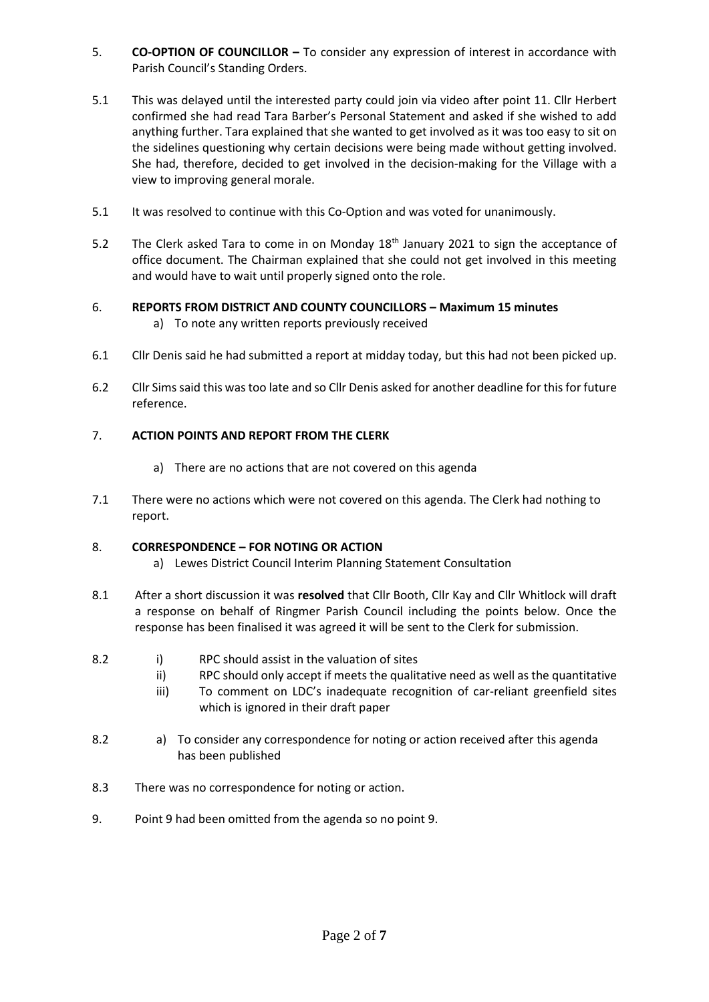- 5. **CO-OPTION OF COUNCILLOR –** To consider any expression of interest in accordance with Parish Council's Standing Orders.
- 5.1 This was delayed until the interested party could join via video after point 11. Cllr Herbert confirmed she had read Tara Barber's Personal Statement and asked if she wished to add anything further. Tara explained that she wanted to get involved as it was too easy to sit on the sidelines questioning why certain decisions were being made without getting involved. She had, therefore, decided to get involved in the decision-making for the Village with a view to improving general morale.
- 5.1 It was resolved to continue with this Co-Option and was voted for unanimously.
- 5.2 The Clerk asked Tara to come in on Monday  $18<sup>th</sup>$  January 2021 to sign the acceptance of office document. The Chairman explained that she could not get involved in this meeting and would have to wait until properly signed onto the role.

# 6. **REPORTS FROM DISTRICT AND COUNTY COUNCILLORS – Maximum 15 minutes**

- a) To note any written reports previously received
- 6.1 Cllr Denis said he had submitted a report at midday today, but this had not been picked up.
- 6.2 Cllr Sims said this was too late and so Cllr Denis asked for another deadline for thisfor future reference.

# 7. **ACTION POINTS AND REPORT FROM THE CLERK**

- a) There are no actions that are not covered on this agenda
- 7.1 There were no actions which were not covered on this agenda. The Clerk had nothing to report.

## 8. **CORRESPONDENCE – FOR NOTING OR ACTION**

- a) Lewes District Council Interim Planning Statement Consultation
- 8.1 After a short discussion it was **resolved** that Cllr Booth, Cllr Kay and Cllr Whitlock will draft a response on behalf of Ringmer Parish Council including the points below. Once the response has been finalised it was agreed it will be sent to the Clerk for submission.
- 8.2 i) RPC should assist in the valuation of sites
	- ii) RPC should only accept if meets the qualitative need as well as the quantitative
	- iii) To comment on LDC's inadequate recognition of car-reliant greenfield sites which is ignored in their draft paper
- 8.2 a) To consider any correspondence for noting or action received after this agenda has been published
- 8.3 There was no correspondence for noting or action.
- 9. Point 9 had been omitted from the agenda so no point 9.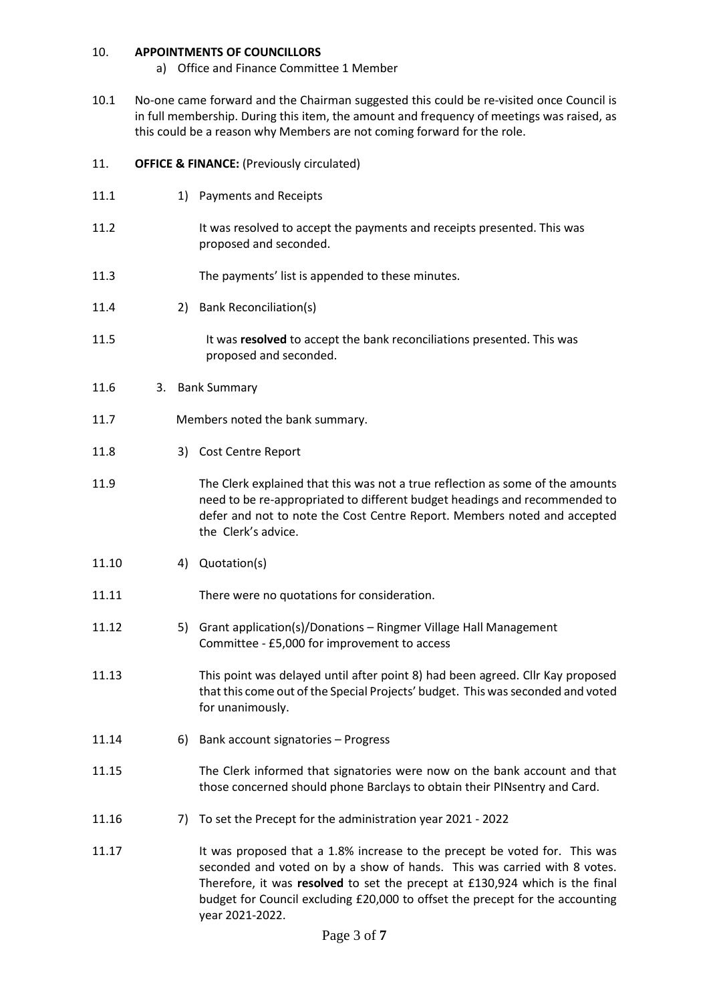#### 10. **APPOINTMENTS OF COUNCILLORS**

- a) Office and Finance Committee 1 Member
- 10.1 No-one came forward and the Chairman suggested this could be re-visited once Council is in full membership. During this item, the amount and frequency of meetings was raised, as this could be a reason why Members are not coming forward for the role.

## 11. **OFFICE & FINANCE:** (Previously circulated)

- 11.1 1) Payments and Receipts 11.2 11.3 It was resolved to accept the payments and receipts presented. This was proposed and seconded. The payments' list is appended to these minutes.
- 

2) Bank Reconciliation(s)

- 11.5 It was **resolved** to accept the bank reconciliations presented. This was proposed and seconded.
- 11.6 3. Bank Summary

11.4

- 11.7Members noted the bank summary.
- 11.8 3) Cost Centre Report
- 11.9 The Clerk explained that this was not a true reflection as some of the amounts need to be re-appropriated to different budget headings and recommended to defer and not to note the Cost Centre Report. Members noted and accepted the Clerk's advice.
- 11.10 4) Quotation(s)
- 11.11 There were no quotations for consideration.
- 11.12 5) Grant application(s)/Donations Ringmer Village Hall Management Committee - £5,000 for improvement to access
- 11.13 This point was delayed until after point 8) had been agreed. Cllr Kay proposed that this come out of the Special Projects' budget. This was seconded and voted for unanimously.
- 11.14 6) Bank account signatories Progress
- 11.15 The Clerk informed that signatories were now on the bank account and that those concerned should phone Barclays to obtain their PINsentry and Card.
- 11.16 7) To set the Precept for the administration year 2021 2022
- 11.17 It was proposed that a 1.8% increase to the precept be voted for. This was seconded and voted on by a show of hands. This was carried with 8 votes. Therefore, it was **resolved** to set the precept at £130,924 which is the final budget for Council excluding £20,000 to offset the precept for the accounting year 2021-2022.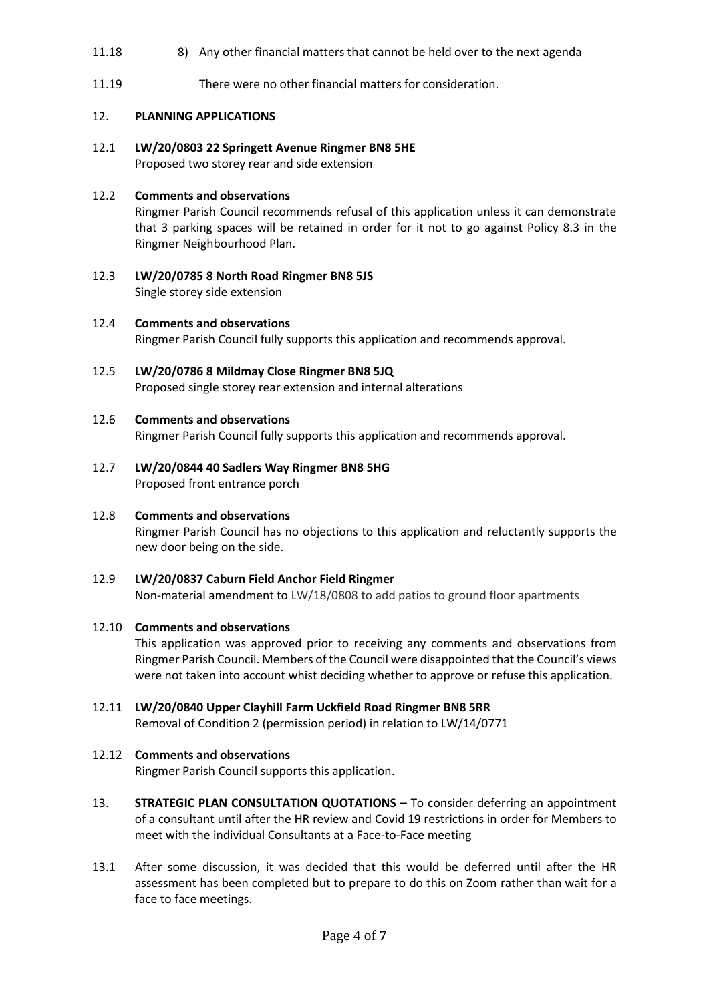- 11.18 8) Any other financial matters that cannot be held over to the next agenda
- 11.19 There were no other financial matters for consideration.

## 12. **PLANNING APPLICATIONS**

12.1 **LW/20/0803 22 Springett Avenue Ringmer BN8 5HE** Proposed two storey rear and side extension

#### 12.2 **Comments and observations**

Ringmer Parish Council recommends refusal of this application unless it can demonstrate that 3 parking spaces will be retained in order for it not to go against Policy 8.3 in the Ringmer Neighbourhood Plan.

- 12.3 **LW/20/0785 8 North Road Ringmer BN8 5JS** Single storey side extension
- 12.4 **Comments and observations** Ringmer Parish Council fully supports this application and recommends approval.
- 12.5 **LW/20/0786 8 Mildmay Close Ringmer BN8 5JQ** Proposed single storey rear extension and internal alterations
- 12.6 **Comments and observations**

Ringmer Parish Council fully supports this application and recommends approval.

- 12.7 **LW/20/0844 40 Sadlers Way Ringmer BN8 5HG** Proposed front entrance porch
- 12.8 **Comments and observations** Ringmer Parish Council has no objections to this application and reluctantly supports the new door being on the side.
- 12.9 **LW/20/0837 Caburn Field Anchor Field Ringmer**  Non-material amendment to LW/18/0808 to add patios to ground floor apartments

#### 12.10 **Comments and observations**

This application was approved prior to receiving any comments and observations from Ringmer Parish Council. Members of the Council were disappointed that the Council's views were not taken into account whist deciding whether to approve or refuse this application.

12.11 **LW/20/0840 Upper Clayhill Farm Uckfield Road Ringmer BN8 5RR**

Removal of Condition 2 (permission period) in relation to LW/14/0771

## 12.12 **Comments and observations**

Ringmer Parish Council supports this application.

- 13. **STRATEGIC PLAN CONSULTATION QUOTATIONS –** To consider deferring an appointment of a consultant until after the HR review and Covid 19 restrictions in order for Members to meet with the individual Consultants at a Face-to-Face meeting
- 13.1 After some discussion, it was decided that this would be deferred until after the HR assessment has been completed but to prepare to do this on Zoom rather than wait for a face to face meetings.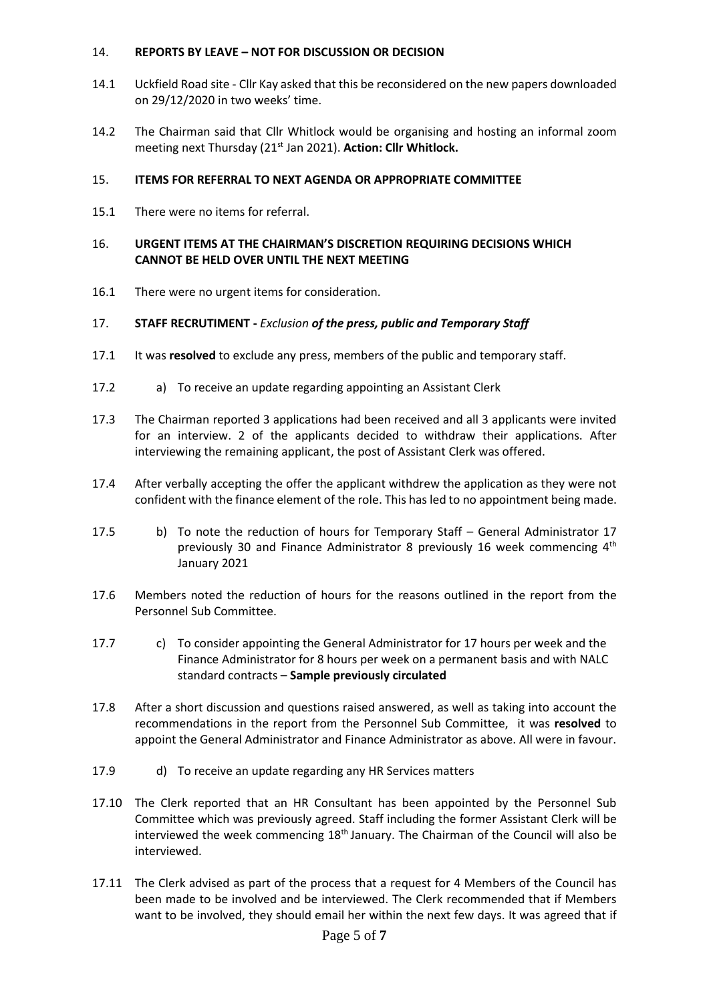#### 14. **REPORTS BY LEAVE – NOT FOR DISCUSSION OR DECISION**

- 14.1 Uckfield Road site Cllr Kay asked that this be reconsidered on the new papers downloaded on 29/12/2020 in two weeks' time.
- 14.2 The Chairman said that Cllr Whitlock would be organising and hosting an informal zoom meeting next Thursday (21<sup>st</sup> Jan 2021). Action: Cllr Whitlock.

## 15. **ITEMS FOR REFERRAL TO NEXT AGENDA OR APPROPRIATE COMMITTEE**

15.1 There were no items for referral.

## 16. **URGENT ITEMS AT THE CHAIRMAN'S DISCRETION REQUIRING DECISIONS WHICH CANNOT BE HELD OVER UNTIL THE NEXT MEETING**

16.1 There were no urgent items for consideration.

#### 17. **STAFF RECRUTIMENT -** *Exclusion of the press, public and Temporary Staff*

- 17.1 It was **resolved** to exclude any press, members of the public and temporary staff.
- 17.2 a) To receive an update regarding appointing an Assistant Clerk
- 17.3 The Chairman reported 3 applications had been received and all 3 applicants were invited for an interview. 2 of the applicants decided to withdraw their applications. After interviewing the remaining applicant, the post of Assistant Clerk was offered.
- 17.4 After verbally accepting the offer the applicant withdrew the application as they were not confident with the finance element of the role. This has led to no appointment being made.
- 17.5 b) To note the reduction of hours for Temporary Staff – General Administrator 17 previously 30 and Finance Administrator 8 previously 16 week commencing  $4<sup>th</sup>$ January 2021
- 17.6 Members noted the reduction of hours for the reasons outlined in the report from the Personnel Sub Committee.
- 17.7 c) To consider appointing the General Administrator for 17 hours per week and the Finance Administrator for 8 hours per week on a permanent basis and with NALC standard contracts – **Sample previously circulated**
- 17.8 After a short discussion and questions raised answered, as well as taking into account the recommendations in the report from the Personnel Sub Committee, it was **resolved** to appoint the General Administrator and Finance Administrator as above. All were in favour.
- 17.9 d) To receive an update regarding any HR Services matters
- 17.10 The Clerk reported that an HR Consultant has been appointed by the Personnel Sub Committee which was previously agreed. Staff including the former Assistant Clerk will be interviewed the week commencing  $18<sup>th</sup>$  January. The Chairman of the Council will also be interviewed.
- 17.11 The Clerk advised as part of the process that a request for 4 Members of the Council has been made to be involved and be interviewed. The Clerk recommended that if Members want to be involved, they should email her within the next few days. It was agreed that if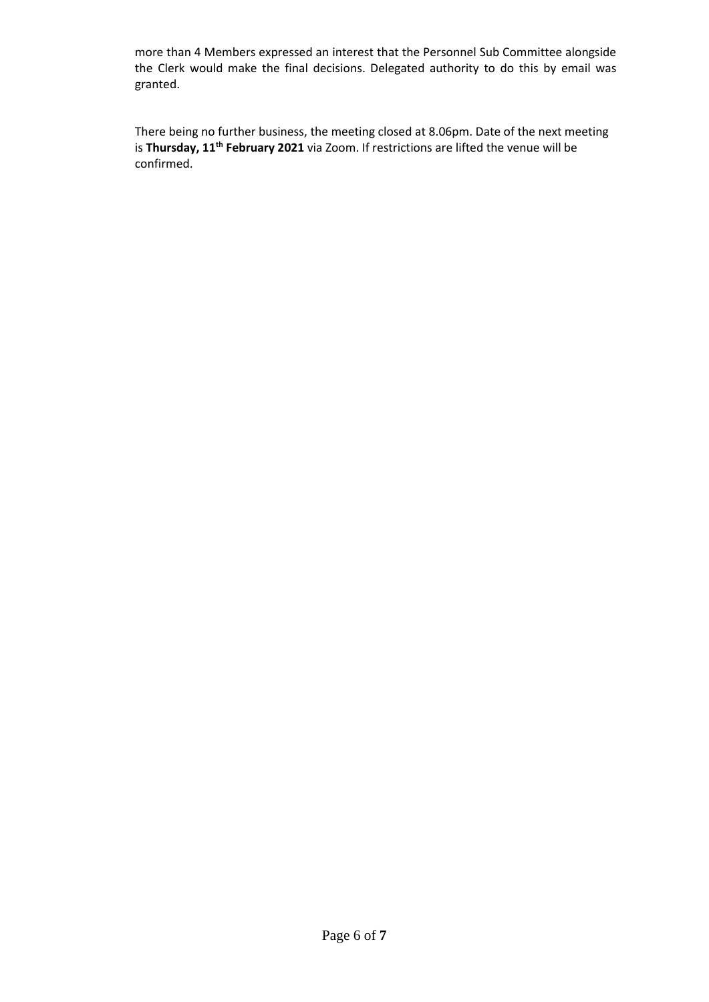more than 4 Members expressed an interest that the Personnel Sub Committee alongside the Clerk would make the final decisions. Delegated authority to do this by email was granted.

There being no further business, the meeting closed at 8.06pm. Date of the next meeting is **Thursday, 11th February 2021** via Zoom. If restrictions are lifted the venue will be confirmed.